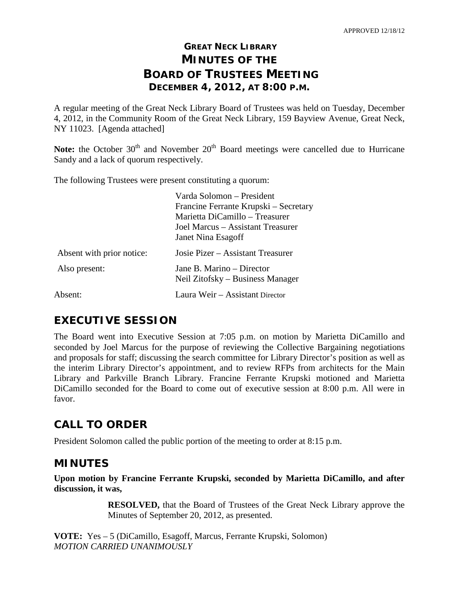# **GREAT NECK LIBRARY MINUTES OF THE BOARD OF TRUSTEES MEETING DECEMBER 4, 2012, AT 8:00 P.M.**

A regular meeting of the Great Neck Library Board of Trustees was held on Tuesday, December 4, 2012, in the Community Room of the Great Neck Library, 159 Bayview Avenue, Great Neck, NY 11023. [Agenda attached]

Note: the October 30<sup>th</sup> and November 20<sup>th</sup> Board meetings were cancelled due to Hurricane Sandy and a lack of quorum respectively.

The following Trustees were present constituting a quorum:

|                           | Varda Solomon – President             |  |
|---------------------------|---------------------------------------|--|
|                           | Francine Ferrante Krupski – Secretary |  |
|                           | Marietta DiCamillo – Treasurer        |  |
|                           | Joel Marcus – Assistant Treasurer     |  |
|                           | Janet Nina Esagoff                    |  |
| Absent with prior notice: | Josie Pizer – Assistant Treasurer     |  |
| Also present:             | Jane B. Marino – Director             |  |
|                           | Neil Zitofsky – Business Manager      |  |
| Absent:                   | Laura Weir - Assistant Director       |  |

# **EXECUTIVE SESSION**

The Board went into Executive Session at 7:05 p.m. on motion by Marietta DiCamillo and seconded by Joel Marcus for the purpose of reviewing the Collective Bargaining negotiations and proposals for staff; discussing the search committee for Library Director's position as well as the interim Library Director's appointment, and to review RFPs from architects for the Main Library and Parkville Branch Library. Francine Ferrante Krupski motioned and Marietta DiCamillo seconded for the Board to come out of executive session at 8:00 p.m. All were in favor.

# **CALL TO ORDER**

President Solomon called the public portion of the meeting to order at 8:15 p.m.

# **MINUTES**

**Upon motion by Francine Ferrante Krupski, seconded by Marietta DiCamillo, and after discussion, it was,**

> **RESOLVED,** that the Board of Trustees of the Great Neck Library approve the Minutes of September 20, 2012, as presented.

**VOTE:** Yes – 5 (DiCamillo, Esagoff, Marcus, Ferrante Krupski, Solomon) *MOTION CARRIED UNANIMOUSLY*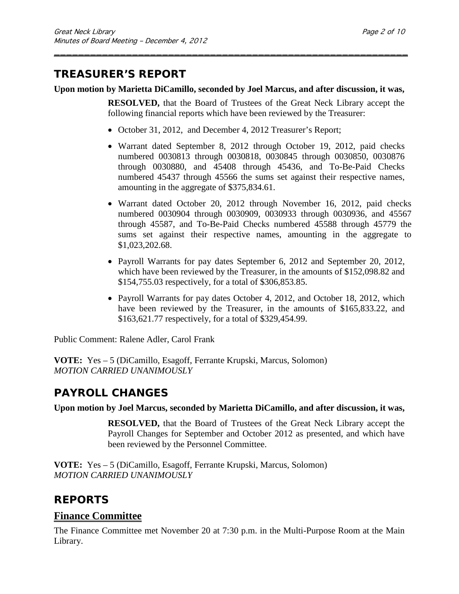# **TREASURER'S REPORT**

### **Upon motion by Marietta DiCamillo, seconded by Joel Marcus, and after discussion, it was,**

\_\_\_\_\_\_\_\_\_\_\_\_\_\_\_\_\_\_\_\_\_\_\_\_\_\_\_\_\_\_\_\_\_\_\_\_\_\_\_\_\_\_\_\_\_\_\_\_\_\_\_\_\_\_\_\_\_\_\_

**RESOLVED,** that the Board of Trustees of the Great Neck Library accept the following financial reports which have been reviewed by the Treasurer:

- October 31, 2012, and December 4, 2012 Treasurer's Report;
- Warrant dated September 8, 2012 through October 19, 2012, paid checks numbered 0030813 through 0030818, 0030845 through 0030850, 0030876 through 0030880, and 45408 through 45436, and To-Be-Paid Checks numbered 45437 through 45566 the sums set against their respective names, amounting in the aggregate of \$375,834.61.
- Warrant dated October 20, 2012 through November 16, 2012, paid checks numbered 0030904 through 0030909, 0030933 through 0030936, and 45567 through 45587, and To-Be-Paid Checks numbered 45588 through 45779 the sums set against their respective names, amounting in the aggregate to \$1,023,202.68.
- Payroll Warrants for pay dates September 6, 2012 and September 20, 2012, which have been reviewed by the Treasurer, in the amounts of \$152,098.82 and \$154,755.03 respectively, for a total of \$306,853.85.
- Payroll Warrants for pay dates October 4, 2012, and October 18, 2012, which have been reviewed by the Treasurer, in the amounts of \$165,833.22, and \$163,621.77 respectively, for a total of \$329,454.99.

Public Comment: Ralene Adler, Carol Frank

**VOTE:** Yes – 5 (DiCamillo, Esagoff, Ferrante Krupski, Marcus, Solomon) *MOTION CARRIED UNANIMOUSLY*

# **PAYROLL CHANGES**

### **Upon motion by Joel Marcus, seconded by Marietta DiCamillo, and after discussion, it was,**

**RESOLVED,** that the Board of Trustees of the Great Neck Library accept the Payroll Changes for September and October 2012 as presented, and which have been reviewed by the Personnel Committee.

**VOTE:** Yes – 5 (DiCamillo, Esagoff, Ferrante Krupski, Marcus, Solomon) *MOTION CARRIED UNANIMOUSLY*

# **REPORTS**

### **Finance Committee**

The Finance Committee met November 20 at 7:30 p.m. in the Multi-Purpose Room at the Main Library.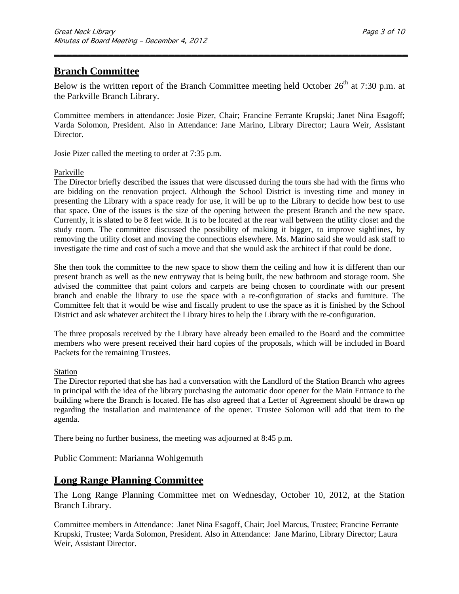# **Branch Committee**

Below is the written report of the Branch Committee meeting held October  $26<sup>th</sup>$  at 7:30 p.m. at the Parkville Branch Library.

\_\_\_\_\_\_\_\_\_\_\_\_\_\_\_\_\_\_\_\_\_\_\_\_\_\_\_\_\_\_\_\_\_\_\_\_\_\_\_\_\_\_\_\_\_\_\_\_\_\_\_\_\_\_\_\_\_\_\_

Committee members in attendance: Josie Pizer, Chair; Francine Ferrante Krupski; Janet Nina Esagoff; Varda Solomon, President. Also in Attendance: Jane Marino, Library Director; Laura Weir, Assistant Director.

Josie Pizer called the meeting to order at 7:35 p.m.

#### Parkville

The Director briefly described the issues that were discussed during the tours she had with the firms who are bidding on the renovation project. Although the School District is investing time and money in presenting the Library with a space ready for use, it will be up to the Library to decide how best to use that space. One of the issues is the size of the opening between the present Branch and the new space. Currently, it is slated to be 8 feet wide. It is to be located at the rear wall between the utility closet and the study room. The committee discussed the possibility of making it bigger, to improve sightlines, by removing the utility closet and moving the connections elsewhere. Ms. Marino said she would ask staff to investigate the time and cost of such a move and that she would ask the architect if that could be done.

She then took the committee to the new space to show them the ceiling and how it is different than our present branch as well as the new entryway that is being built, the new bathroom and storage room. She advised the committee that paint colors and carpets are being chosen to coordinate with our present branch and enable the library to use the space with a re-configuration of stacks and furniture. The Committee felt that it would be wise and fiscally prudent to use the space as it is finished by the School District and ask whatever architect the Library hires to help the Library with the re-configuration.

The three proposals received by the Library have already been emailed to the Board and the committee members who were present received their hard copies of the proposals, which will be included in Board Packets for the remaining Trustees.

#### Station

The Director reported that she has had a conversation with the Landlord of the Station Branch who agrees in principal with the idea of the library purchasing the automatic door opener for the Main Entrance to the building where the Branch is located. He has also agreed that a Letter of Agreement should be drawn up regarding the installation and maintenance of the opener. Trustee Solomon will add that item to the agenda.

There being no further business, the meeting was adjourned at 8:45 p.m.

Public Comment: Marianna Wohlgemuth

### **Long Range Planning Committee**

The Long Range Planning Committee met on Wednesday, October 10, 2012, at the Station Branch Library.

Committee members in Attendance: Janet Nina Esagoff, Chair; Joel Marcus, Trustee; Francine Ferrante Krupski, Trustee; Varda Solomon, President. Also in Attendance: Jane Marino, Library Director; Laura Weir, Assistant Director.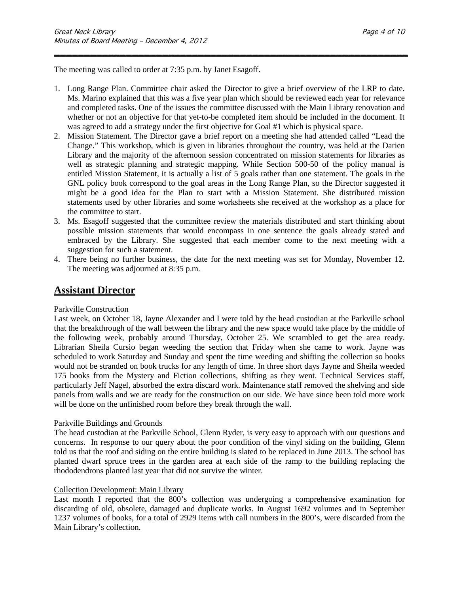The meeting was called to order at 7:35 p.m. by Janet Esagoff.

1. Long Range Plan. Committee chair asked the Director to give a brief overview of the LRP to date. Ms. Marino explained that this was a five year plan which should be reviewed each year for relevance and completed tasks. One of the issues the committee discussed with the Main Library renovation and whether or not an objective for that yet-to-be completed item should be included in the document. It was agreed to add a strategy under the first objective for Goal #1 which is physical space.

\_\_\_\_\_\_\_\_\_\_\_\_\_\_\_\_\_\_\_\_\_\_\_\_\_\_\_\_\_\_\_\_\_\_\_\_\_\_\_\_\_\_\_\_\_\_\_\_\_\_\_\_\_\_\_\_\_\_\_

- 2. Mission Statement. The Director gave a brief report on a meeting she had attended called "Lead the Change." This workshop, which is given in libraries throughout the country, was held at the Darien Library and the majority of the afternoon session concentrated on mission statements for libraries as well as strategic planning and strategic mapping. While Section 500-50 of the policy manual is entitled Mission Statement, it is actually a list of 5 goals rather than one statement. The goals in the GNL policy book correspond to the goal areas in the Long Range Plan, so the Director suggested it might be a good idea for the Plan to start with a Mission Statement. She distributed mission statements used by other libraries and some worksheets she received at the workshop as a place for the committee to start.
- 3. Ms. Esagoff suggested that the committee review the materials distributed and start thinking about possible mission statements that would encompass in one sentence the goals already stated and embraced by the Library. She suggested that each member come to the next meeting with a suggestion for such a statement.
- 4. There being no further business, the date for the next meeting was set for Monday, November 12. The meeting was adjourned at 8:35 p.m.

### **Assistant Director**

#### Parkville Construction

Last week, on October 18, Jayne Alexander and I were told by the head custodian at the Parkville school that the breakthrough of the wall between the library and the new space would take place by the middle of the following week, probably around Thursday, October 25. We scrambled to get the area ready. Librarian Sheila Cursio began weeding the section that Friday when she came to work. Jayne was scheduled to work Saturday and Sunday and spent the time weeding and shifting the collection so books would not be stranded on book trucks for any length of time. In three short days Jayne and Sheila weeded 175 books from the Mystery and Fiction collections, shifting as they went. Technical Services staff, particularly Jeff Nagel, absorbed the extra discard work. Maintenance staff removed the shelving and side panels from walls and we are ready for the construction on our side. We have since been told more work will be done on the unfinished room before they break through the wall.

#### Parkville Buildings and Grounds

The head custodian at the Parkville School, Glenn Ryder, is very easy to approach with our questions and concerns. In response to our query about the poor condition of the vinyl siding on the building, Glenn told us that the roof and siding on the entire building is slated to be replaced in June 2013. The school has planted dwarf spruce trees in the garden area at each side of the ramp to the building replacing the rhododendrons planted last year that did not survive the winter.

#### Collection Development: Main Library

Last month I reported that the 800's collection was undergoing a comprehensive examination for discarding of old, obsolete, damaged and duplicate works. In August 1692 volumes and in September 1237 volumes of books, for a total of 2929 items with call numbers in the 800's, were discarded from the Main Library's collection.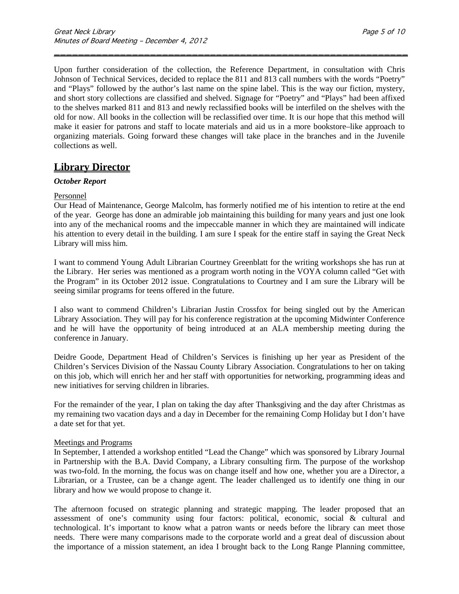Upon further consideration of the collection, the Reference Department, in consultation with Chris Johnson of Technical Services, decided to replace the 811 and 813 call numbers with the words "Poetry" and "Plays" followed by the author's last name on the spine label. This is the way our fiction, mystery, and short story collections are classified and shelved. Signage for "Poetry" and "Plays" had been affixed to the shelves marked 811 and 813 and newly reclassified books will be interfiled on the shelves with the old for now. All books in the collection will be reclassified over time. It is our hope that this method will make it easier for patrons and staff to locate materials and aid us in a more bookstore–like approach to organizing materials. Going forward these changes will take place in the branches and in the Juvenile collections as well.

\_\_\_\_\_\_\_\_\_\_\_\_\_\_\_\_\_\_\_\_\_\_\_\_\_\_\_\_\_\_\_\_\_\_\_\_\_\_\_\_\_\_\_\_\_\_\_\_\_\_\_\_\_\_\_\_\_\_\_

### **Library Director**

#### *October Report*

#### Personnel

Our Head of Maintenance, George Malcolm, has formerly notified me of his intention to retire at the end of the year. George has done an admirable job maintaining this building for many years and just one look into any of the mechanical rooms and the impeccable manner in which they are maintained will indicate his attention to every detail in the building. I am sure I speak for the entire staff in saying the Great Neck Library will miss him.

I want to commend Young Adult Librarian Courtney Greenblatt for the writing workshops she has run at the Library. Her series was mentioned as a program worth noting in the VOYA column called "Get with the Program" in its October 2012 issue. Congratulations to Courtney and I am sure the Library will be seeing similar programs for teens offered in the future.

I also want to commend Children's Librarian Justin Crossfox for being singled out by the American Library Association. They will pay for his conference registration at the upcoming Midwinter Conference and he will have the opportunity of being introduced at an ALA membership meeting during the conference in January.

Deidre Goode, Department Head of Children's Services is finishing up her year as President of the Children's Services Division of the Nassau County Library Association. Congratulations to her on taking on this job, which will enrich her and her staff with opportunities for networking, programming ideas and new initiatives for serving children in libraries.

For the remainder of the year, I plan on taking the day after Thanksgiving and the day after Christmas as my remaining two vacation days and a day in December for the remaining Comp Holiday but I don't have a date set for that yet.

#### Meetings and Programs

In September, I attended a workshop entitled "Lead the Change" which was sponsored by Library Journal in Partnership with the B.A. David Company, a Library consulting firm. The purpose of the workshop was two-fold. In the morning, the focus was on change itself and how one, whether you are a Director, a Librarian, or a Trustee, can be a change agent. The leader challenged us to identify one thing in our library and how we would propose to change it.

The afternoon focused on strategic planning and strategic mapping. The leader proposed that an assessment of one's community using four factors: political, economic, social & cultural and technological. It's important to know what a patron wants or needs before the library can meet those needs. There were many comparisons made to the corporate world and a great deal of discussion about the importance of a mission statement, an idea I brought back to the Long Range Planning committee,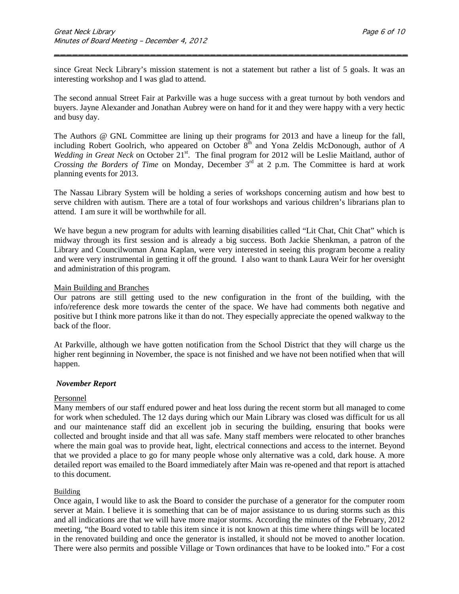since Great Neck Library's mission statement is not a statement but rather a list of 5 goals. It was an interesting workshop and I was glad to attend.

\_\_\_\_\_\_\_\_\_\_\_\_\_\_\_\_\_\_\_\_\_\_\_\_\_\_\_\_\_\_\_\_\_\_\_\_\_\_\_\_\_\_\_\_\_\_\_\_\_\_\_\_\_\_\_\_\_\_\_

The second annual Street Fair at Parkville was a huge success with a great turnout by both vendors and buyers. Jayne Alexander and Jonathan Aubrey were on hand for it and they were happy with a very hectic and busy day.

The Authors @ GNL Committee are lining up their programs for 2013 and have a lineup for the fall, including Robert Goolrich, who appeared on October 8<sup>th</sup> and Yona Zeldis McDonough, author of *A Wedding in Great Neck* on October 21<sup>st</sup>. The final program for 2012 will be Leslie Maitland, author of *Crossing the Borders of Time* on Monday, December 3<sup>rd</sup> at 2 p.m. The Committee is hard at work planning events for 2013.

The Nassau Library System will be holding a series of workshops concerning autism and how best to serve children with autism. There are a total of four workshops and various children's librarians plan to attend. I am sure it will be worthwhile for all.

We have begun a new program for adults with learning disabilities called "Lit Chat, Chit Chat" which is midway through its first session and is already a big success. Both Jackie Shenkman, a patron of the Library and Councilwoman Anna Kaplan, were very interested in seeing this program become a reality and were very instrumental in getting it off the ground. I also want to thank Laura Weir for her oversight and administration of this program.

#### Main Building and Branches

Our patrons are still getting used to the new configuration in the front of the building, with the info/reference desk more towards the center of the space. We have had comments both negative and positive but I think more patrons like it than do not. They especially appreciate the opened walkway to the back of the floor.

At Parkville, although we have gotten notification from the School District that they will charge us the higher rent beginning in November, the space is not finished and we have not been notified when that will happen.

#### *November Report*

#### Personnel

Many members of our staff endured power and heat loss during the recent storm but all managed to come for work when scheduled. The 12 days during which our Main Library was closed was difficult for us all and our maintenance staff did an excellent job in securing the building, ensuring that books were collected and brought inside and that all was safe. Many staff members were relocated to other branches where the main goal was to provide heat, light, electrical connections and access to the internet. Beyond that we provided a place to go for many people whose only alternative was a cold, dark house. A more detailed report was emailed to the Board immediately after Main was re-opened and that report is attached to this document.

#### **Building**

Once again, I would like to ask the Board to consider the purchase of a generator for the computer room server at Main. I believe it is something that can be of major assistance to us during storms such as this and all indications are that we will have more major storms. According the minutes of the February, 2012 meeting, "the Board voted to table this item since it is not known at this time where things will be located in the renovated building and once the generator is installed, it should not be moved to another location. There were also permits and possible Village or Town ordinances that have to be looked into." For a cost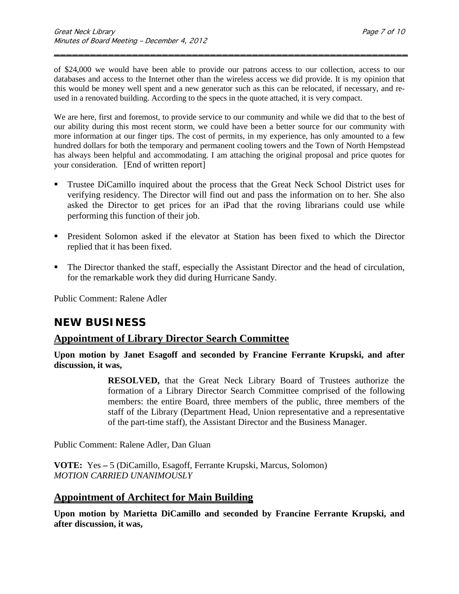of \$24,000 we would have been able to provide our patrons access to our collection, access to our databases and access to the Internet other than the wireless access we did provide. It is my opinion that this would be money well spent and a new generator such as this can be relocated, if necessary, and reused in a renovated building. According to the specs in the quote attached, it is very compact.

\_\_\_\_\_\_\_\_\_\_\_\_\_\_\_\_\_\_\_\_\_\_\_\_\_\_\_\_\_\_\_\_\_\_\_\_\_\_\_\_\_\_\_\_\_\_\_\_\_\_\_\_\_\_\_\_\_\_\_

We are here, first and foremost, to provide service to our community and while we did that to the best of our ability during this most recent storm, we could have been a better source for our community with more information at our finger tips. The cost of permits, in my experience, has only amounted to a few hundred dollars for both the temporary and permanent cooling towers and the Town of North Hempstead has always been helpful and accommodating. I am attaching the original proposal and price quotes for your consideration. [End of written report]

- Trustee DiCamillo inquired about the process that the Great Neck School District uses for verifying residency. The Director will find out and pass the information on to her. She also asked the Director to get prices for an iPad that the roving librarians could use while performing this function of their job.
- President Solomon asked if the elevator at Station has been fixed to which the Director replied that it has been fixed.
- The Director thanked the staff, especially the Assistant Director and the head of circulation, for the remarkable work they did during Hurricane Sandy.

Public Comment: Ralene Adler

# **NEW BUSINESS**

### **Appointment of Library Director Search Committee**

**Upon motion by Janet Esagoff and seconded by Francine Ferrante Krupski, and after discussion, it was,**

> **RESOLVED,** that the Great Neck Library Board of Trustees authorize the formation of a Library Director Search Committee comprised of the following members: the entire Board, three members of the public, three members of the staff of the Library (Department Head, Union representative and a representative of the part-time staff), the Assistant Director and the Business Manager.

Public Comment: Ralene Adler, Dan Gluan

**VOTE:** Yes **–** 5 (DiCamillo, Esagoff, Ferrante Krupski, Marcus, Solomon) *MOTION CARRIED UNANIMOUSLY*

# **Appointment of Architect for Main Building**

**Upon motion by Marietta DiCamillo and seconded by Francine Ferrante Krupski, and after discussion, it was,**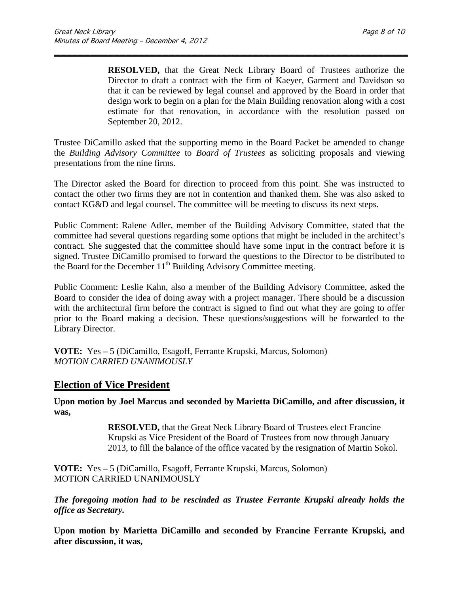**RESOLVED,** that the Great Neck Library Board of Trustees authorize the Director to draft a contract with the firm of Kaeyer, Garment and Davidson so that it can be reviewed by legal counsel and approved by the Board in order that design work to begin on a plan for the Main Building renovation along with a cost estimate for that renovation, in accordance with the resolution passed on September 20, 2012.

Trustee DiCamillo asked that the supporting memo in the Board Packet be amended to change the *Building Advisory Committee* to *Board of Trustees* as soliciting proposals and viewing presentations from the nine firms.

\_\_\_\_\_\_\_\_\_\_\_\_\_\_\_\_\_\_\_\_\_\_\_\_\_\_\_\_\_\_\_\_\_\_\_\_\_\_\_\_\_\_\_\_\_\_\_\_\_\_\_\_\_\_\_\_\_\_\_

The Director asked the Board for direction to proceed from this point. She was instructed to contact the other two firms they are not in contention and thanked them. She was also asked to contact KG&D and legal counsel. The committee will be meeting to discuss its next steps.

Public Comment: Ralene Adler, member of the Building Advisory Committee, stated that the committee had several questions regarding some options that might be included in the architect's contract. She suggested that the committee should have some input in the contract before it is signed. Trustee DiCamillo promised to forward the questions to the Director to be distributed to the Board for the December  $11<sup>th</sup>$  Building Advisory Committee meeting.

Public Comment: Leslie Kahn, also a member of the Building Advisory Committee, asked the Board to consider the idea of doing away with a project manager. There should be a discussion with the architectural firm before the contract is signed to find out what they are going to offer prior to the Board making a decision. These questions/suggestions will be forwarded to the Library Director.

**VOTE:** Yes **–** 5 (DiCamillo, Esagoff, Ferrante Krupski, Marcus, Solomon) *MOTION CARRIED UNANIMOUSLY*

### **Election of Vice President**

**Upon motion by Joel Marcus and seconded by Marietta DiCamillo, and after discussion, it was,**

> **RESOLVED,** that the Great Neck Library Board of Trustees elect Francine Krupski as Vice President of the Board of Trustees from now through January 2013, to fill the balance of the office vacated by the resignation of Martin Sokol.

**VOTE:** Yes **–** 5 (DiCamillo, Esagoff, Ferrante Krupski, Marcus, Solomon) MOTION CARRIED UNANIMOUSLY

*The foregoing motion had to be rescinded as Trustee Ferrante Krupski already holds the office as Secretary.*

**Upon motion by Marietta DiCamillo and seconded by Francine Ferrante Krupski, and after discussion, it was,**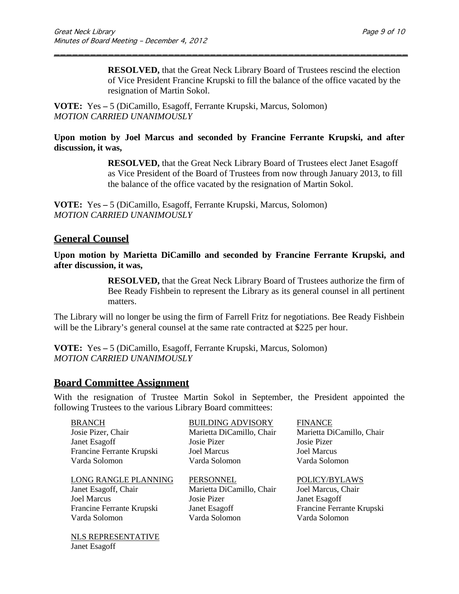**RESOLVED,** that the Great Neck Library Board of Trustees rescind the election of Vice President Francine Krupski to fill the balance of the office vacated by the resignation of Martin Sokol.

**VOTE:** Yes **–** 5 (DiCamillo, Esagoff, Ferrante Krupski, Marcus, Solomon) *MOTION CARRIED UNANIMOUSLY*

#### **Upon motion by Joel Marcus and seconded by Francine Ferrante Krupski, and after discussion, it was,**

\_\_\_\_\_\_\_\_\_\_\_\_\_\_\_\_\_\_\_\_\_\_\_\_\_\_\_\_\_\_\_\_\_\_\_\_\_\_\_\_\_\_\_\_\_\_\_\_\_\_\_\_\_\_\_\_\_\_\_

**RESOLVED,** that the Great Neck Library Board of Trustees elect Janet Esagoff as Vice President of the Board of Trustees from now through January 2013, to fill the balance of the office vacated by the resignation of Martin Sokol.

**VOTE:** Yes **–** 5 (DiCamillo, Esagoff, Ferrante Krupski, Marcus, Solomon) *MOTION CARRIED UNANIMOUSLY*

### **General Counsel**

**Upon motion by Marietta DiCamillo and seconded by Francine Ferrante Krupski, and after discussion, it was,**

> **RESOLVED,** that the Great Neck Library Board of Trustees authorize the firm of Bee Ready Fishbein to represent the Library as its general counsel in all pertinent matters.

The Library will no longer be using the firm of Farrell Fritz for negotiations. Bee Ready Fishbein will be the Library's general counsel at the same rate contracted at \$225 per hour.

**VOTE:** Yes **–** 5 (DiCamillo, Esagoff, Ferrante Krupski, Marcus, Solomon) *MOTION CARRIED UNANIMOUSLY*

### **Board Committee Assignment**

Janet Esagoff

With the resignation of Trustee Martin Sokol in September, the President appointed the following Trustees to the various Library Board committees:

| <b>BRANCH</b>             | <b>BUILDING ADVISORY</b>  | <b>FINANCE</b>            |
|---------------------------|---------------------------|---------------------------|
| Josie Pizer, Chair        | Marietta DiCamillo, Chair | Marietta DiCamillo, Chair |
| Janet Esagoff             | Josie Pizer               | Josie Pizer               |
| Francine Ferrante Krupski | <b>Joel Marcus</b>        | <b>Joel Marcus</b>        |
| Varda Solomon             | Varda Solomon             | Varda Solomon             |
|                           |                           |                           |
| LONG RANGLE PLANNING      | PERSONNEL                 | POLICY/BYLAWS             |
| Janet Esagoff, Chair      | Marietta DiCamillo, Chair | Joel Marcus, Chair        |
| <b>Joel Marcus</b>        | Josie Pizer               | Janet Esagoff             |
| Francine Ferrante Krupski | Janet Esagoff             | Francine Ferrante Krupski |
| Varda Solomon             | Varda Solomon             | Varda Solomon             |
| NLS REPRESENTATIVE        |                           |                           |